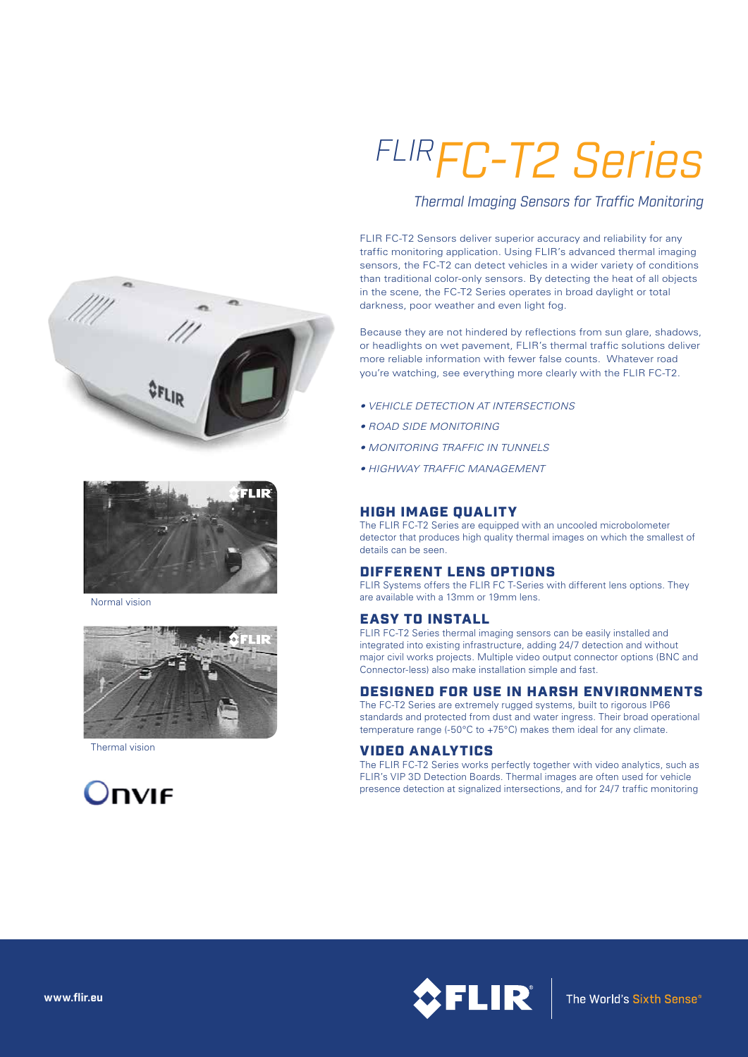

Normal vision



Thermal vision



# *FLIRFC-T2 Series*

*Thermal Imaging Sensors for Traffic Monitoring*

FLIR FC-T2 Sensors deliver superior accuracy and reliability for any traffic monitoring application. Using FLIR's advanced thermal imaging sensors, the FC-T2 can detect vehicles in a wider variety of conditions than traditional color-only sensors. By detecting the heat of all objects in the scene, the FC-T2 Series operates in broad daylight or total darkness, poor weather and even light fog.

Because they are not hindered by reflections from sun glare, shadows, or headlights on wet pavement, FLIR's thermal traffic solutions deliver more reliable information with fewer false counts. Whatever road you're watching, see everything more clearly with the FLIR FC-T2.

- *VEHICLE DETECTION AT INTERSECTIONS*
- *ROAD SIDE MONITORING*
- *MONITORING TRAFFIC IN TUNNELS*
- *HIGHWAY TRAFFIC MANAGEMENT*

#### HIGH IMAGE QUALITY

The FLIR FC-T2 Series are equipped with an uncooled microbolometer detector that produces high quality thermal images on which the smallest of details can be seen.

#### DIFFERENT LENS OPTIONS

FLIR Systems offers the FLIR FC T-Series with different lens options. They are available with a 13mm or 19mm lens.

#### EASY TO INSTALL

FLIR FC-T2 Series thermal imaging sensors can be easily installed and integrated into existing infrastructure, adding 24/7 detection and without major civil works projects. Multiple video output connector options (BNC and Connector-less) also make installation simple and fast.

#### DESIGNED FOR USE IN HARSH ENVIRONMENTS

The FC-T2 Series are extremely rugged systems, built to rigorous IP66 standards and protected from dust and water ingress. Their broad operational temperature range (-50°C to +75°C) makes them ideal for any climate.

#### VIDEO ANALYTICS

The FLIR FC-T2 Series works perfectly together with video analytics, such as FLIR's VIP 3D Detection Boards. Thermal images are often used for vehicle presence detection at signalized intersections, and for 24/7 traffic monitoring